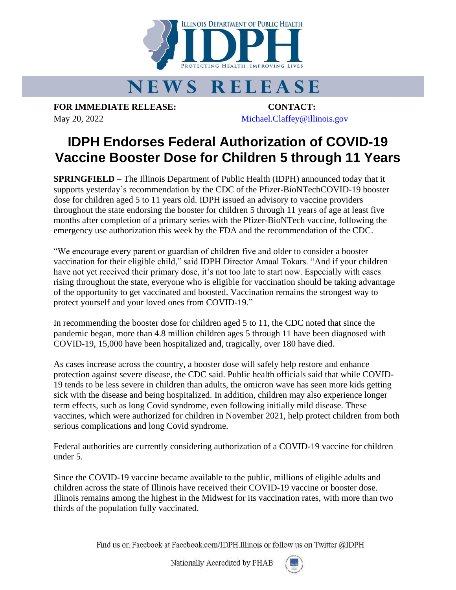

## **NEWS RELEASE**

**FOR IMMEDIATE RELEASE: CONTACT:** May 20, 2022 [Michael.Claffey@illinois.gov](mailto:Michael.Claffey@illinois.gov)

## **IDPH Endorses Federal Authorization of COVID-19 Vaccine Booster Dose for Children 5 through 11 Years**

**SPRINGFIELD** – The Illinois Department of Public Health (IDPH) announced today that it supports yesterday's recommendation by the CDC of the Pfizer-BioNTechCOVID-19 booster dose for children aged 5 to 11 years old. IDPH issued an advisory to vaccine providers throughout the state endorsing the booster for children 5 through 11 years of age at least five months after completion of a primary series with the Pfizer-BioNTech vaccine, following the emergency use authorization this week by the FDA and the recommendation of the CDC.

"We encourage every parent or guardian of children five and older to consider a booster vaccination for their eligible child," said IDPH Director Amaal Tokars. "And if your children have not yet received their primary dose, it's not too late to start now. Especially with cases rising throughout the state, everyone who is eligible for vaccination should be taking advantage of the opportunity to get vaccinated and boosted. Vaccination remains the strongest way to protect yourself and your loved ones from COVID-19."

In recommending the booster dose for children aged 5 to 11, the CDC noted that since the pandemic began, more than 4.8 million children ages 5 through 11 have been diagnosed with COVID-19, 15,000 have been hospitalized and, tragically, over 180 have died.

As cases increase across the country, a booster dose will safely help restore and enhance protection against severe disease, the CDC said. Public health officials said that while COVID-19 tends to be less severe in children than adults, the omicron wave has seen more kids getting sick with the disease and being hospitalized. In addition, children may also experience longer term effects, such as long Covid syndrome, even following initially mild disease. These vaccines, which were authorized for children in November 2021, help protect children from both serious complications and long Covid syndrome.

Federal authorities are currently considering authorization of a COVID-19 vaccine for children under 5.

Since the COVID-19 vaccine became available to the public, millions of eligible adults and children across the state of Illinois have received their COVID-19 vaccine or booster dose. Illinois remains among the highest in the Midwest for its vaccination rates, with more than two thirds of the population fully vaccinated.

Find us on Facebook at Facebook.com/IDPH.Illinois or follow us on Twitter @IDPH

Nationally Accredited by PHAB